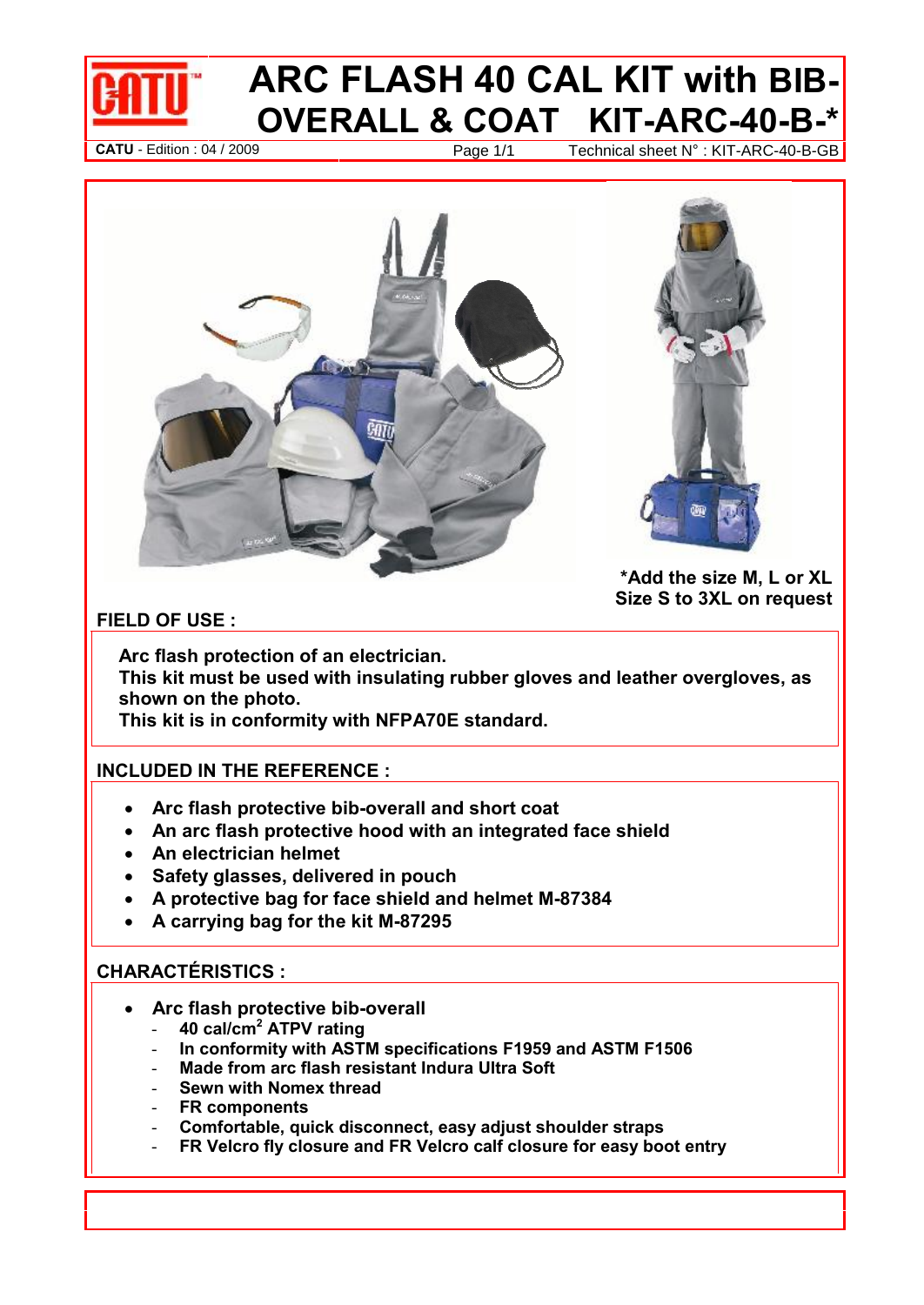

# **ARC FLASH 40 CAL KIT with BIB- & COAT KIT-ARC-40-B-\* Example 2009 Page 1/1** Technical sheet N° : KIT-ARC-40-B-<sup>\*</sup><br>Page 1/1 Technical sheet N° : KIT-ARC-40-B-GB





 **the size M, <sup>L</sup> or XL <sup>S</sup> to 3XL on request**

 **flash protection of an electrician. Thisshown on the photo. This kit must be used with insulating rubber gloves and leather overgloves, as kit must be used with insulating rubber gloves a**<br>**rn on the photo.**<br>kit is in conformity with NFPA70E standard.

# This kit is in conformity with NFPA70E s<br>————————————————————<br>INCLUDED IN THE REFERENCE:

- **ARRIC IN THE REFERENCE :**<br>• Arc flash protective bib-overall and short coat **An arc flash protective hood with an integrated face shield**  $\bullet$ **Anally Ance field field in the Anally Analysis Anally Anallysis<br>• Anally Anglectrician helmet<br>• Anglectrician helmet** 
	- An arc flash protective hood with an integra<br>An electrician helmet<br>Safetv glasses, delivered in pouch
	- An electrician helmet
	- Safety glasses, delivered in pouch
	- **<sup>A</sup> protective bag forface shield and helmet M-87384** Safety glasses, delivered in pouch<br>A protective bag for face shield and helme<br>A carrving bag for the kit M-87295
- **CHARACT…RISTICS :**

- **Arc flash protective bib-overall** ATC 1.2011.000<br>Arc flash protective bib-overall<br>- 40 cal/cm<sup>2</sup> ATPV rating
	-
	- Arc flash protective bib-overall<br>- 40 cal/cm<sup>2</sup> ATPV rating<br>- In conformity with ASTM specifications F1959 and ASTM F1506 **40 cal/cm<sup>2</sup> ATPV rating<br>- 40 cal/cm<sup>2</sup> ATPV rating<br>- In conformity with ASTM specifications F1959 and** *k***<br>- Made from arc flash resistant Indura Ultra Soft** - **In conformity with ASTM specifica**<br>- Made from arc flash resistant Indu<br>- Sewn with Nomex thread
	- Made from arc flash resistant Indura Ultra Soft<br>Sewn with Nomex thread<br>FR components
	-
	-
	- **Comfortable, quick disconnect, easy adjust shoulder straps**
	- **FR Velcro fly closure and FR Velcro calfclosure for easy boot entry**